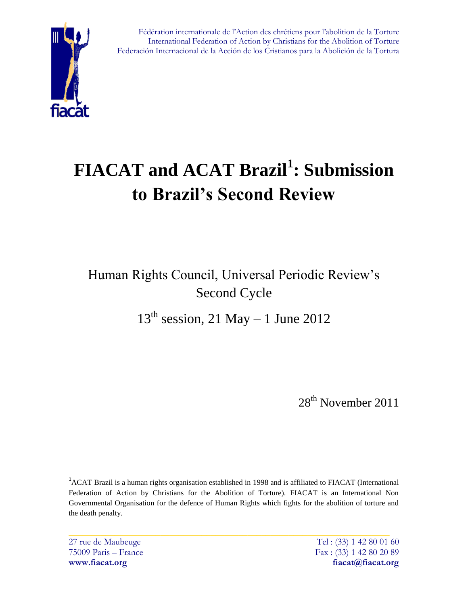

Fédération internationale de l'Action des chrétiens pour l'abolition de la Torture International Federation of Action by Christians for the Abolition of Torture Federación Internacional de la Acción de los Cristianos para la Abolición de la Tortura

# **FIACAT and ACAT Brazil<sup>1</sup> : Submission to Brazil's Second Review**

Human Rights Council, Universal Periodic Review"s Second Cycle

 $13<sup>th</sup>$  session, 21 May – 1 June 2012

28<sup>th</sup> November 2011

 $\overline{a}$ 

<sup>&</sup>lt;sup>1</sup>ACAT Brazil is a human rights organisation established in 1998 and is affiliated to FIACAT (International Federation of Action by Christians for the Abolition of Torture). FIACAT is an International Non Governmental Organisation for the defence of Human Rights which fights for the abolition of torture and the death penalty.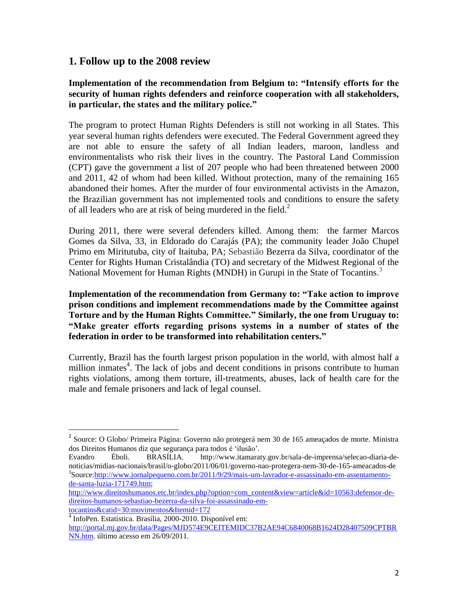## **1. Follow up to the 2008 review**

#### **Implementation of the recommendation from Belgium to: "Intensify efforts for the security of human rights defenders and reinforce cooperation with all stakeholders, in particular, the states and the military police."**

The program to protect Human Rights Defenders is still not working in all States. This year several human rights defenders were executed. The Federal Government agreed they are not able to ensure the safety of all Indian leaders, maroon, landless and environmentalists who risk their lives in the country. The Pastoral Land Commission (CPT) gave the government a list of 207 people who had been threatened between 2000 and 2011, 42 of whom had been killed. Without protection, many of the remaining 165 abandoned their homes. After the murder of four environmental activists in the Amazon, the Brazilian government has not implemented tools and conditions to ensure the safety of all leaders who are at risk of being murdered in the field.<sup>2</sup>

During 2011, there were several defenders killed. Among them: the farmer Marcos Gomes da Silva, 33, in Eldorado do Carajás (PA); the community leader João Chupel Primo em Miritutuba, city of Itaituba, PA; Sebastião Bezerra da Silva, coordinator of the Center for Rights Human Cristalândia (TO) and secretary of the Midwest Regional of the National Movement for Human Rights (MNDH) in Gurupi in the State of Tocantins.<sup>3</sup>

**Implementation of the recommendation from Germany to: "Take action to improve prison conditions and implement recommendations made by the Committee against Torture and by the Human Rights Committee." Similarly, the one from Uruguay to: "Make greater efforts regarding prisons systems in a number of states of the federation in order to be transformed into rehabilitation centers."**

Currently, Brazil has the fourth largest prison population in the world, with almost half a million inmates<sup>4</sup>. The lack of jobs and decent conditions in prisons contribute to human rights violations, among them torture, ill-treatments, abuses, lack of health care for the male and female prisoners and lack of legal counsel.

 $\overline{a}$ 

<sup>&</sup>lt;sup>2</sup> Source: O Globo/ Primeira Página: Governo não protegerá nem 30 de 165 ameaçados de morte. Ministra dos Direitos Humanos diz que segurança para todos é "ilusão".

Evandro Éboli. BRASÍLIA. http://www.itamaraty.gov.br/sala-de-imprensa/selecao-diaria-denoticias/midias-nacionais/brasil/o-globo/2011/06/01/governo-nao-protegera-nem-30-de-165-ameacados-de <sup>3</sup>Source[:http://www.jornalpequeno.com.br/2011/9/29/mais-um-lavrador-e-assassinado-em-assentamento](http://www.jornalpequeno.com.br/2011/9/29/mais-um-lavrador-e-assassinado-em-assentamento-de-santa-luzia-171749.htm)[de-santa-luzia-171749.htm;](http://www.jornalpequeno.com.br/2011/9/29/mais-um-lavrador-e-assassinado-em-assentamento-de-santa-luzia-171749.htm)

[http://www.direitoshumanos.etc.br/index.php?option=com\\_content&view=article&id=10563:defensor-de](http://www.direitoshumanos.etc.br/index.php?option=com_content&view=article&id=10563:defensor-de-direitos-humanos-sebastiao-bezerra-da-silva-foi-assassinado-em-tocantins&catid=30:movimentos&Itemid=172)[direitos-humanos-sebastiao-bezerra-da-silva-foi-assassinado-em-](http://www.direitoshumanos.etc.br/index.php?option=com_content&view=article&id=10563:defensor-de-direitos-humanos-sebastiao-bezerra-da-silva-foi-assassinado-em-tocantins&catid=30:movimentos&Itemid=172)

[tocantins&catid=30:movimentos&Itemid=172](http://www.direitoshumanos.etc.br/index.php?option=com_content&view=article&id=10563:defensor-de-direitos-humanos-sebastiao-bezerra-da-silva-foi-assassinado-em-tocantins&catid=30:movimentos&Itemid=172)

<sup>4</sup> InfoPen. Estatística. Brasília, 2000-2010. Disponível em:

[http://portal.mj.gov.br/data/Pages/MJD574E9CEITEMIDC37B2AE94C6840068B1624D28407509CPTBR](http://portal.mj.gov.br/data/Pages/MJD574E9CEITEMIDC37B2AE94C6840068B1624D28407509CPTBRNN.htm) [NN.htm.](http://portal.mj.gov.br/data/Pages/MJD574E9CEITEMIDC37B2AE94C6840068B1624D28407509CPTBRNN.htm) último acesso em 26/09/2011.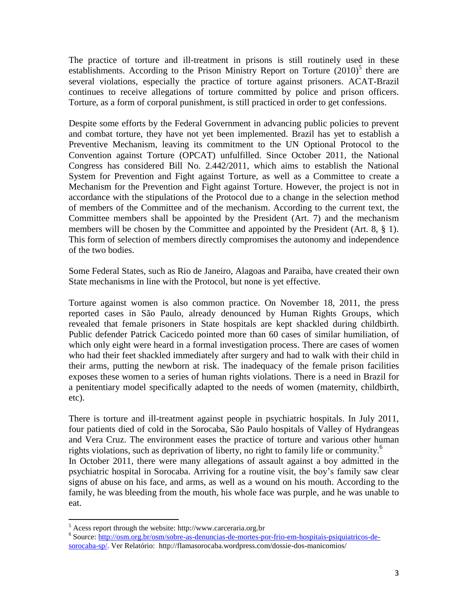The practice of torture and ill-treatment in prisons is still routinely used in these establishments. According to the Prison Ministry Report on Torture  $(2010)^5$  there are several violations, especially the practice of torture against prisoners. ACAT-Brazil continues to receive allegations of torture committed by police and prison officers. Torture, as a form of corporal punishment, is still practiced in order to get confessions.

Despite some efforts by the Federal Government in advancing public policies to prevent and combat torture, they have not yet been implemented. Brazil has yet to establish a Preventive Mechanism, leaving its commitment to the UN Optional Protocol to the Convention against Torture (OPCAT) unfulfilled. Since October 2011, the National Congress has considered Bill No. 2.442/2011, which aims to establish the National System for Prevention and Fight against Torture, as well as a Committee to create a Mechanism for the Prevention and Fight against Torture. However, the project is not in accordance with the stipulations of the Protocol due to a change in the selection method of members of the Committee and of the mechanism. According to the current text, the Committee members shall be appointed by the President (Art. 7) and the mechanism members will be chosen by the Committee and appointed by the President (Art. 8, § 1). This form of selection of members directly compromises the autonomy and independence of the two bodies.

Some Federal States, such as Rio de Janeiro, Alagoas and Paraiba, have created their own State mechanisms in line with the Protocol, but none is yet effective.

Torture against women is also common practice. On November 18, 2011, the press reported cases in São Paulo, already denounced by Human Rights Groups, which revealed that female prisoners in State hospitals are kept shackled during childbirth. Public defender Patrick Cacicedo pointed more than 60 cases of similar humiliation, of which only eight were heard in a formal investigation process. There are cases of women who had their feet shackled immediately after surgery and had to walk with their child in their arms, putting the newborn at risk. The inadequacy of the female prison facilities exposes these women to a series of human rights violations. There is a need in Brazil for a penitentiary model specifically adapted to the needs of women (maternity, childbirth, etc).

There is torture and ill-treatment against people in psychiatric hospitals. In July 2011, four patients died of cold in the Sorocaba, São Paulo hospitals of Valley of Hydrangeas and Vera Cruz. The environment eases the practice of torture and various other human rights violations, such as deprivation of liberty, no right to family life or community.<sup>6</sup> In October 2011, there were many allegations of assault against a boy admitted in the psychiatric hospital in Sorocaba. Arriving for a routine visit, the boy"s family saw clear signs of abuse on his face, and arms, as well as a wound on his mouth. According to the family, he was bleeding from the mouth, his whole face was purple, and he was unable to eat.

 $\overline{a}$  $<sup>5</sup>$  Acess report through the website: http://www.carceraria.org.br</sup>

<sup>&</sup>lt;sup>6</sup> Source[: http://osm.org.br/osm/sobre-as-denuncias-de-mortes-por-frio-em-hospitais-psiquiatricos-de](http://osm.org.br/osm/sobre-as-denuncias-de-mortes-por-frio-em-hospitais-psiquiatricos-de-sorocaba-sp/)[sorocaba-sp/.](http://osm.org.br/osm/sobre-as-denuncias-de-mortes-por-frio-em-hospitais-psiquiatricos-de-sorocaba-sp/) Ver Relatório: http://flamasorocaba.wordpress.com/dossie-dos-manicomios/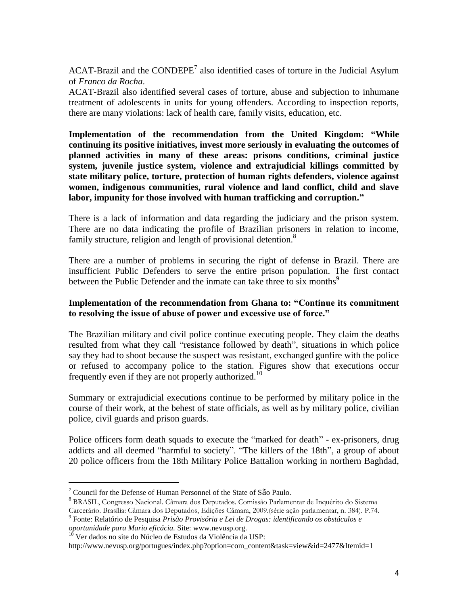ACAT-Brazil and the  $\text{COMPEPE}^7$  also identified cases of torture in the Judicial Asylum of *Franco da Rocha*.

ACAT-Brazil also identified several cases of torture, abuse and subjection to inhumane treatment of adolescents in units for young offenders. According to inspection reports, there are many violations: lack of health care, family visits, education, etc.

**Implementation of the recommendation from the United Kingdom: "While continuing its positive initiatives, invest more seriously in evaluating the outcomes of planned activities in many of these areas: prisons conditions, criminal justice system, juvenile justice system, violence and extrajudicial killings committed by state military police, torture, protection of human rights defenders, violence against women, indigenous communities, rural violence and land conflict, child and slave labor, impunity for those involved with human trafficking and corruption."**

There is a lack of information and data regarding the judiciary and the prison system. There are no data indicating the profile of Brazilian prisoners in relation to income, family structure, religion and length of provisional detention.<sup>8</sup>

There are a number of problems in securing the right of defense in Brazil. There are insufficient Public Defenders to serve the entire prison population. The first contact between the Public Defender and the inmate can take three to six months<sup>9</sup>

#### **Implementation of the recommendation from Ghana to: "Continue its commitment to resolving the issue of abuse of power and excessive use of force."**

The Brazilian military and civil police continue executing people. They claim the deaths resulted from what they call "resistance followed by death", situations in which police say they had to shoot because the suspect was resistant, exchanged gunfire with the police or refused to accompany police to the station. Figures show that executions occur frequently even if they are not properly authorized.<sup>10</sup>

Summary or extrajudicial executions continue to be performed by military police in the course of their work, at the behest of state officials, as well as by military police, civilian police, civil guards and prison guards.

Police officers form death squads to execute the "marked for death" - ex-prisoners, drug addicts and all deemed "harmful to society". "The killers of the 18th", a group of about 20 police officers from the 18th Military Police Battalion working in northern Baghdad,

 $\overline{a}$ 

 $7$  Council for the Defense of Human Personnel of the State of São Paulo.

<sup>8</sup> BRASIL, Congresso Nacional. Câmara dos Deputados. Comissão Parlamentar de Inquérito do Sistema

Carcerário. Brasília: Câmara dos Deputados, Edições Câmara, 2009.(série ação parlamentar, n. 384). P.74.

<sup>9</sup> Fonte: Relatório de Pesquisa *Prisão Provisória e Lei de Drogas: identificando os obstáculos e oportunidade para Mario eficácia.* Site: www.nevusp.org.

 $10$  Ver dados no site do Núcleo de Estudos da Violência da USP:

http://www.nevusp.org/portugues/index.php?option=com\_content&task=view&id=2477&Itemid=1